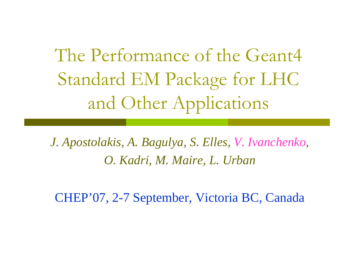The Performance of the Geant4 Standard EM Package for LHC and Other Applications

*J. Apostolakis, A. Bagulya, S. Elles, V. Ivanchenko, O. Kadri, M. Maire, L. Urban*

CHEP'07, 2-7 September, Victoria BC, Canada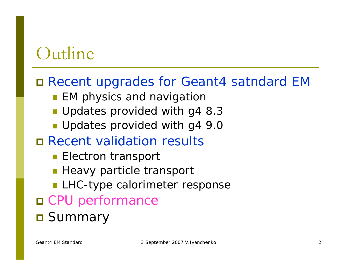### **Outline**

#### Recent upgrades for Geant4 satndard EM

- **EM physics and navigation**
- **Updates provided with g4 8.3**
- Updates provided with g4 9.0
- Recent validation results
	- **Electron transport**
	- **Heavy particle transport**
	- **LHC-type calorimeter response**
- CPU performance

#### **D** Summary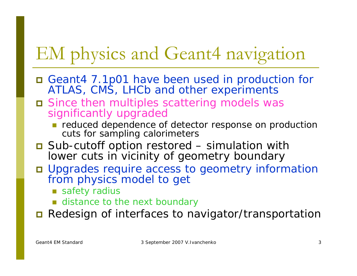## EM physics and Geant4 navigation

- Geant4 7.1p01 have been used in production for ATLAS, CMS, LHCb and other experiments
- Since then multiples scattering models was significantly upgraded
	- **reduced dependence of detector response on production** cuts for sampling calorimeters
- Sub-cutoff option restored simulation with lower cuts in vicinity of geometry boundary
- Upgrades require access to geometry information from physics model to get
	- safety radius
	- **E** distance to the next boundary

 $\blacksquare$ Redesign of interfaces to navigator/transportation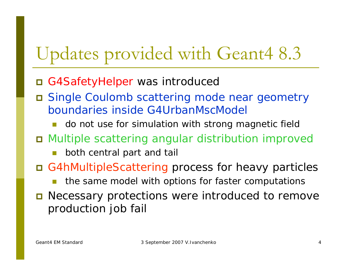### Updates provided with Geant4 8.3

- G4SafetyHelper was introduced
- $\Box$  Single Coulomb scattering mode near geometry boundaries inside G4UrbanMscModel
	- T do not use for simulation with strong magnetic field
- Multiple scattering angular distribution improved
	- π both central part and tail
- G4hMultipleScattering process for heavy particles
	- L. the same model with options for faster computations
- **O** Necessary protections were introduced to remove production job fail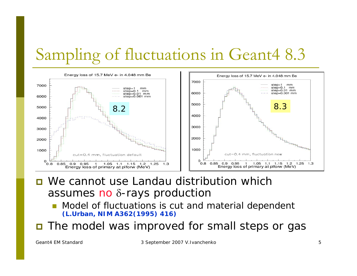### Sampling of fluctuations in Geant4 8.3



- **D** We cannot use Landau distribution which assumes no δ-rays production
	- T Model of fluctuations is cut and material dependent **(L.Urban, NIM A362(1995) 416)**
- The model was improved for small steps or gas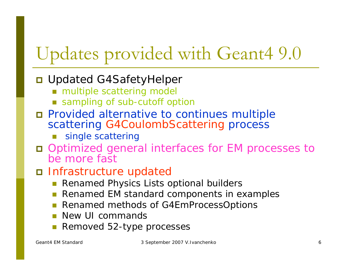# Updates provided with Geant4 9.0

#### **□ Updated G4SafetyHelper**

- multiple scattering model
- sampling of sub-cutoff option
- Provided alternative to continues multiple scattering G4CoulombScattering process
	- π single scattering
- Optimized general interfaces for EM processes to be more fast

#### Infrastructure updated

- T Renamed Physics Lists optional builders
- T Renamed EM standard components in examples
- T Renamed methods of G4EmProcessOptions
- T New UI commands
- T Removed 52-type processes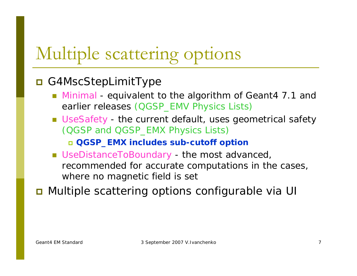### Multiple scattering options

#### ■ G4MscStepLimitType

- Minimal equivalent to the algorithm of Geant4 7.1 and earlier releases (QGSP\_EMV Physics Lists)
- UseSafety the current default, uses geometrical safety (QGSP and QGSP\_EMX Physics Lists)

**QGSP\_EMX includes sub-cutoff option**

■ UseDistanceToBoundary - the most advanced, recommended for accurate computations in the cases, where no magnetic field is set

■ Multiple scattering options configurable via UI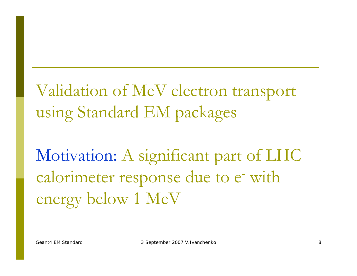Validation of MeV electron transport using Standard EM packages

Motivation: A significant part of LHC calorimeter response due to e with energy below 1 MeV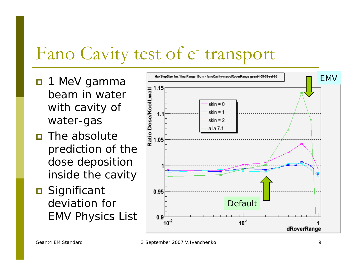#### Fano Cavity test of e - transport

- n 1 MeV gamma beam in water with cavity of water-gas
- **n** The absolute prediction of the dose deposition inside the cavity
- **□** Significant deviation for EMV Physics List

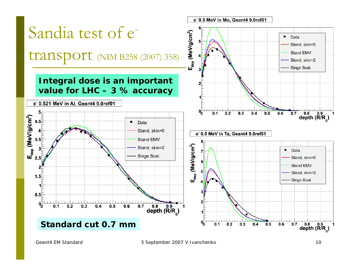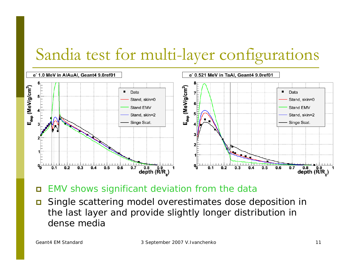### Sandia test for multi-layer configurations



 $\blacksquare$ EMV shows significant deviation from the data

 $\Box$  Single scattering model overestimates dose deposition in the last layer and provide slightly longer distribution in dense media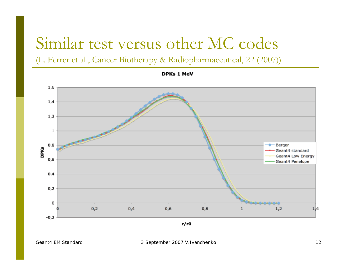### Similar test versus other MC codes

(L. Ferrer et al., Cancer Biotherapy & Radiopharmaceutical, 22 (2007))

1,6  $1,4$  $1,2$  $\mathbf{1}$  $0,8$ Berger **DPKs** Geant4 standard Geant4 Low Energy  $0,6$ Geant4 Penelope  $0,4$  $0,2$ 0  $0,2$  $0,4$  $0,6$  $0,8$  $1,2$  $1,4$  $-0,2$ 

**DPKs 1 MeV** 

 $r/r0$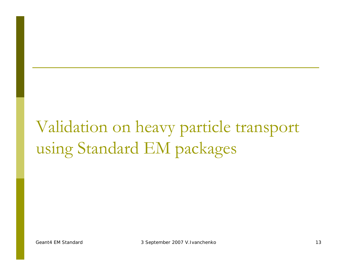### Validation on heavy particle transport using Standard EM packages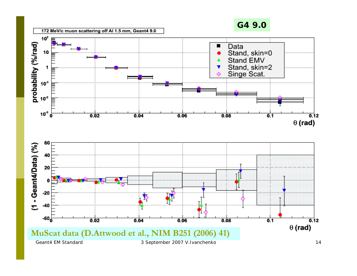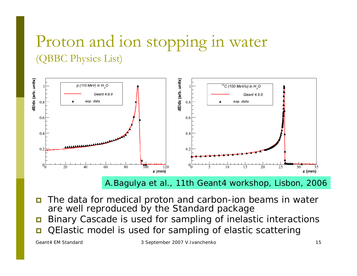### Proton and ion stopping in water (QBBC Physics List)



*A.Bagulya et al.,* 11th Geant4 workshop, Lisbon, 2006

- Ξ The data for medical proton and carbon-ion beams in water are well reproduced by the Standard package
- $\blacksquare$ Binary Cascade is used for sampling of inelastic interactions
- Ξ QElastic model is used for sampling of elastic scattering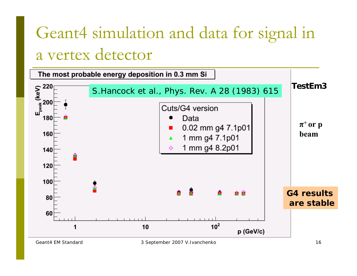### Geant4 simulation and data for signal in a vertex detector

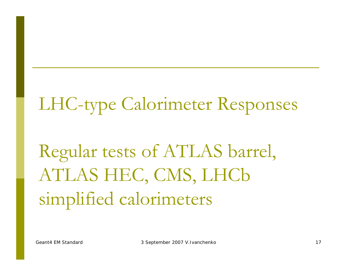# LHC-type Calorimeter Responses

# Regular tests of ATLAS barrel, ATLAS HEC, CMS, LHCb simplified calorimeters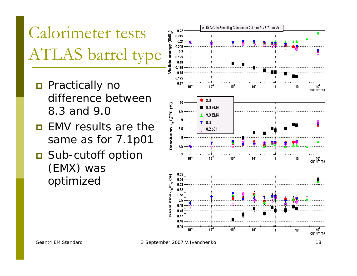Calorimeter tests ATLAS barrel type

- **Practically no** difference between 8.3 and 9.0
- $\Box$  EMV results are the same as for 7.1p01
- Sub-cutoff option (EMX) was optimized

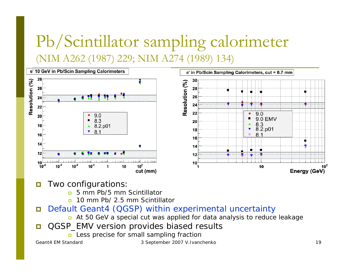### Pb/Scintillator sampling calorimeter (NIM A262 (1987) 229; NIM A274 (1989) 134)



- $\Box$  Two configurations:
	- о 5 mm Pb/5 mm Scintillator
	- 10 mm Pb/ 2.5 mm Scintillator
- $\Box$  Default Geant4 (QGSP) within experimental uncertainty
	- At 50 GeV a special cut was applied for data analysis to reduce leakage
- $\Box$  QGSP\_EMV version provides biased results
	- Less precise for small sampling fraction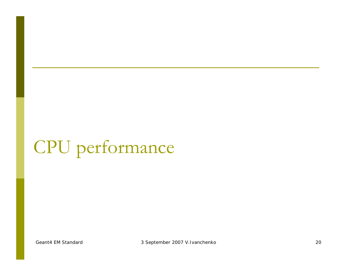# CPU performance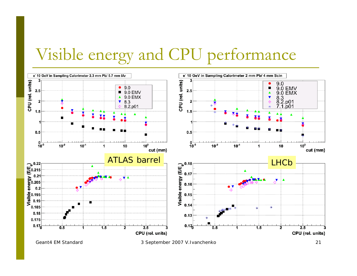### Visible energy and CPU performance



Geant4 EM Standard and the state of 3 September 2007 V.Ivanchenko 21 and 21 and 21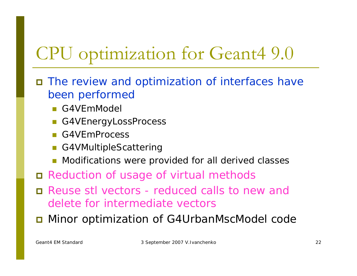### CPU optimization for Geant4 9.0

- The review and optimization of interfaces have been performed
	- G4VEmModel
	- G4VEnergyLossProcess
	- **G4VEmProcess**
	- G4VMultipleScattering
	- **Modifications were provided for all derived classes**
- Reduction of usage of virtual methods
- Reuse stl vectors reduced calls to *new* and *delete* for intermediate vectors
- **D** Minor optimization of G4UrbanMscModel code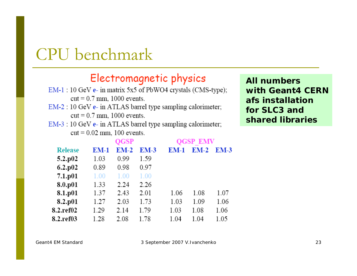### CPU benchmark

#### Electromagnetic physics

- $EM-1:10 GeV$  e- in matrix 5x5 of PbWO4 crystals (CMS-type);  $cut = 0.7$  mm, 1000 events.
- EM-2 : 10 GeV e- in ATLAS barrel type sampling calorimeter;  $cut = 0.7$  mm, 1000 events.
- $EM-3:10 GeV$  e- in ATLAS barrel type sampling calorimeter;  $cut = 0.02$  mm, 100 events.

| <b>All numbers</b> |
|--------------------|
| with Geant4 CERN   |
| afs installation   |
| for SLC3 and       |
| shared libraries   |

| <b>Release</b> | QGSP |        |        | <b>QGSP EMV</b> |        |             |
|----------------|------|--------|--------|-----------------|--------|-------------|
|                | EM-1 | $EM-2$ | $EM-3$ | $EM-1$          | $EM-2$ | <b>EM-3</b> |
| 5.2.p02        | 1.03 | 0.99   | 1.59   |                 |        |             |
| $6.2$ .p02     | 0.89 | 0.98   | 0.97   |                 |        |             |
| 7.1.p01        | 1.00 | 1.00   | 1.00   |                 |        |             |
| 8.0.p01        | 1.33 | 2.24   | 2.26   |                 |        |             |
| 8.1.p01        | 1.37 | 2.43   | 2.01   | 1.06            | 1.08   | 1.07        |
| 8.2.p01        | 1.27 | 2.03   | 1.73   | 1.03            | 1.09   | 1.06        |
| 8.2.ref02      | 1.29 | 2.14   | 1.79   | 1.03            | 1.08   | 1.06        |
| 8.2.ref03      | 1.28 | 2.08   | 1.78   | 1.04            | 1.04   | 1.05        |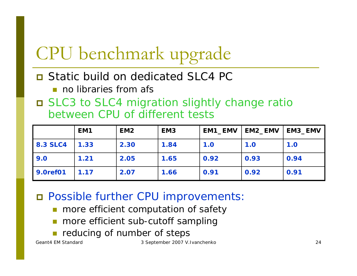# CPU benchmark upgrade

#### **D** Static build on dedicated SLC4 PC

- no libraries from afs
- SLC3 to SLC4 migration slightly change ratio between CPU of different tests

|                 | EM <sub>1</sub> | EM <sub>2</sub> | EM <sub>3</sub> | EM1_EMV | EM2_EMV | <b>EM3_EMV</b> |
|-----------------|-----------------|-----------------|-----------------|---------|---------|----------------|
| <b>8.3 SLC4</b> | 1.33            | 2.30            | 1.84            | 1.0     | 1.0     | 1.0            |
| 9.0             | 1.21            | 2.05            | 1.65            | 0.92    | 0.93    | 0.94           |
| 9.0ref01        | 1.17            | 2.07            | 1.66            | 0.91    | 0.92    | 0.91           |

Possible further CPU improvements:

- more efficient computation of safety
- T more efficient sub-cutoff sampling
- π reducing of number of steps

Geant4 EM Standard and the state of 3 September 2007 V.Ivanchenko 24 and 24